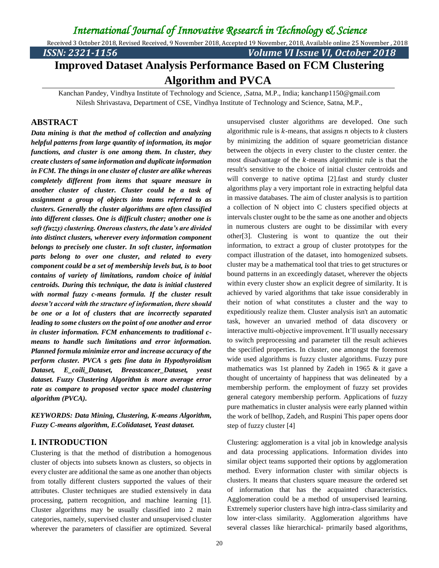Received 3 October 2018, Revised Received, 9 November 2018, Accepted 19 November, 2018, Available online 25 November , 2018

*ISSN: 2321-1156 Volume VI Issue VI, October 2018*

# **Improved Dataset Analysis Performance Based on FCM Clustering Algorithm and PVCA**

Kanchan Pandey, Vindhya Institute of Technology and Science, ,Satna, M.P., India; kanchanp1150@gmail.com Nilesh Shrivastava, Department of CSE, Vindhya Institute of Technology and Science, Satna, M.P.,

#### **ABSTRACT**

*Data mining is that the method of collection and analyzing helpful patterns from large quantity of information, its major functions, and cluster is one among them. In cluster, they create clusters of same information and duplicate information in FCM. The things in one cluster of cluster are alike whereas completely different from items that square measure in another cluster of cluster. Cluster could be a task of assignment a group of objects into teams referred to as clusters. Generally the cluster algorithms are often classified into different classes. One is difficult cluster; another one is soft (fuzzy) clustering. Onerous clusters, the data's are divided into distinct clusters, wherever every information component belongs to precisely one cluster. In soft cluster, information parts belong to over one cluster, and related to every component could be a set of membership levels but, is to boot contains of variety of limitations, random choice of initial centroids. During this technique, the data is initial clustered with normal fuzzy c-means formula. If the cluster result doesn't accord with the structure of information, there should be one or a lot of clusters that are incorrectly separated leading to some clusters on the point of one another and error in cluster information. FCM enhancements to traditional cmeans to handle such limitations and error information. Planned formula minimize error and increase accuracy of the perform cluster. PVCA s gets fine data in Hypothyroidism Dataset, E\_coili\_Dataset, Breastcancer\_Dataset, yeast dataset. Fuzzy Clustering Algorithm is more average error rate as compare to proposed vector space model clustering algorithm (PVCA).*

*KEYWORDS: Data Mining, Clustering, K-means Algorithm, Fuzzy C-means algorithm, E.Colidataset, Yeast dataset.*

### **I. INTRODUCTION**

Clustering is that the method of distribution a homogenous cluster of objects into subsets known as clusters, so objects in every cluster are additional the same as one another than objects from totally different clusters supported the values of their attributes. Cluster techniques are studied extensively in data processing, pattern recognition, and machine learning [1]. Cluster algorithms may be usually classified into 2 main categories, namely, supervised cluster and unsupervised cluster wherever the parameters of classifier are optimized. Several

unsupervised cluster algorithms are developed. One such algorithmic rule is  $k$ -means, that assigns  $n$  objects to  $k$  clusters by minimizing the addition of square geometrician distance between the objects in every cluster to the cluster center. the most disadvantage of the  $k$ -means algorithmic rule is that the result's sensitive to the choice of initial cluster centroids and will converge to native optima [2].fast and sturdy cluster algorithms play a very important role in extracting helpful data in massive databases. The aim of cluster analysis is to partition a collection of N object into C clusters specified objects at intervals cluster ought to be the same as one another and objects in numerous clusters are ought to be dissimilar with every other[3]. Clustering is wont to quantize the out their information, to extract a group of cluster prototypes for the compact illustration of the dataset, into homogenized subsets. cluster may be a mathematical tool that tries to get structures or bound patterns in an exceedingly dataset, wherever the objects within every cluster show an explicit degree of similarity. It is achieved by varied algorithms that take issue considerably in their notion of what constitutes a cluster and the way to expeditiously realize them. Cluster analysis isn't an automatic task, however an unvaried method of data discovery or interactive multi-objective improvement. It'll usually necessary to switch preprocessing and parameter till the result achieves the specified properties. In cluster, one amongst the foremost wide used algorithms is fuzzy cluster algorithms. Fuzzy pure mathematics was 1st planned by Zadeh in 1965 & it gave a thought of uncertainty of happiness that was delineated by a membership perform. the employment of fuzzy set provides general category membership perform. Applications of fuzzy pure mathematics in cluster analysis were early planned within the work of bellhop, Zadeh, and Ruspini This paper opens door step of fuzzy cluster [4]

Clustering: agglomeration is a vital job in knowledge analysis and data processing applications. Information divides into similar object teams supported their options by agglomeration method. Every information cluster with similar objects is clusters. It means that clusters square measure the ordered set of information that has the acquainted characteristics. Agglomeration could be a method of unsupervised learning. Extremely superior clusters have high intra-class similarity and low inter-class similarity. Agglomeration algorithms have several classes like hierarchical- primarily based algorithms,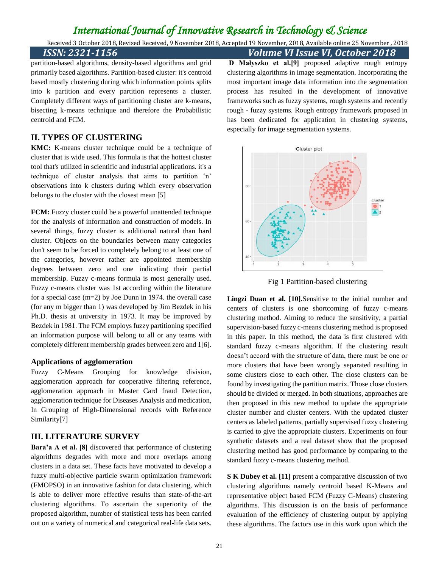Received 3 October 2018, Revised Received, 9 November 2018, Accepted 19 November, 2018, Available online 25 November , 2018

*ISSN: 2321-1156 Volume VI Issue VI, October 2018*

partition-based algorithms, density-based algorithms and grid primarily based algorithms. Partition-based cluster: it's centroid based mostly clustering during which information points splits into k partition and every partition represents a cluster. Completely different ways of partitioning cluster are k-means, bisecting k-means technique and therefore the Probabilistic centroid and FCM.

### **II. TYPES OF CLUSTERING**

**KMC:** K-means cluster technique could be a technique of cluster that is wide used. This formula is that the hottest cluster tool that's utilized in scientific and industrial applications. it's a technique of cluster analysis that aims to partition 'n' observations into k clusters during which every observation belongs to the cluster with the closest mean [5]

**FCM:** Fuzzy cluster could be a powerful unattended technique for the analysis of information and construction of models. In several things, fuzzy cluster is additional natural than hard cluster. Objects on the boundaries between many categories don't seem to be forced to completely belong to at least one of the categories, however rather are appointed membership degrees between zero and one indicating their partial membership. Fuzzy c-means formula is most generally used. Fuzzy c-means cluster was 1st according within the literature for a special case (m=2) by Joe Dunn in 1974. the overall case (for any m bigger than 1) was developed by Jim Bezdek in his Ph.D. thesis at university in 1973. It may be improved by Bezdek in 1981. The FCM employs fuzzy partitioning specified an information purpose will belong to all or any teams with completely different membership grades between zero and 1[6].

#### **Applications of agglomeration**

Fuzzy C-Means Grouping for knowledge division, agglomeration approach for cooperative filtering reference, agglomeration approach in Master Card fraud Detection, agglomeration technique for Diseases Analysis and medication, In Grouping of High-Dimensional records with Reference Similarity[7]

### **III. LITERATURE SURVEY**

**Bara'a A et al. [8]** discovered that performance of clustering algorithms degrades with more and more overlaps among clusters in a data set. These facts have motivated to develop a fuzzy multi-objective particle swarm optimization framework (FMOPSO) in an innovative fashion for data clustering, which is able to deliver more effective results than state-of-the-art clustering algorithms. To ascertain the superiority of the proposed algorithm, number of statistical tests has been carried out on a variety of numerical and categorical real-life data sets.

**D Małyszko et al.[9]** proposed adaptive rough entropy clustering algorithms in image segmentation. Incorporating the most important image data information into the segmentation process has resulted in the development of innovative frameworks such as fuzzy systems, rough systems and recently rough - fuzzy systems. Rough entropy framework proposed in has been dedicated for application in clustering systems, especially for image segmentation systems.



Fig 1 Partition-based clustering

**Lingzi Duan et al. [10].**Sensitive to the initial number and centers of clusters is one shortcoming of fuzzy c-means clustering method. Aiming to reduce the sensitivity, a partial supervision-based fuzzy c-means clustering method is proposed in this paper. In this method, the data is first clustered with standard fuzzy c-means algorithm. If the clustering result doesn't accord with the structure of data, there must be one or more clusters that have been wrongly separated resulting in some clusters close to each other. The close clusters can be found by investigating the partition matrix. Those close clusters should be divided or merged. In both situations, approaches are then proposed in this new method to update the appropriate cluster number and cluster centers. With the updated cluster centers as labeled patterns, partially supervised fuzzy clustering is carried to give the appropriate clusters. Experiments on four synthetic datasets and a real dataset show that the proposed clustering method has good performance by comparing to the standard fuzzy c-means clustering method.

**S K Dubey et al. [11]** present a comparative discussion of two clustering algorithms namely centroid based K-Means and representative object based FCM (Fuzzy C-Means) clustering algorithms. This discussion is on the basis of performance evaluation of the efficiency of clustering output by applying these algorithms. The factors use in this work upon which the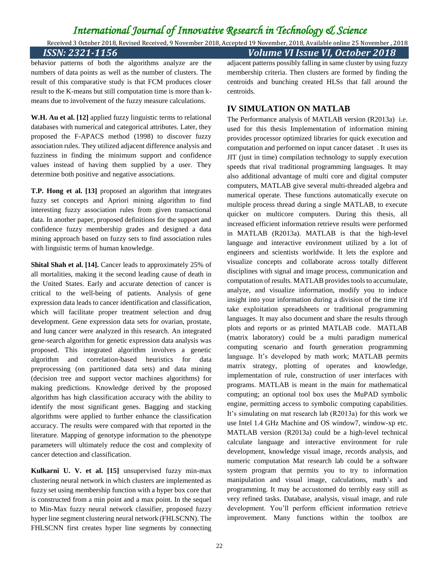Received 3 October 2018, Revised Received, 9 November 2018, Accepted 19 November, 2018, Available online 25 November , 2018 *ISSN: 2321-1156 Volume VI Issue VI, October 2018*

behavior patterns of both the algorithms analyze are the numbers of data points as well as the number of clusters. The result of this comparative study is that FCM produces closer result to the K-means but still computation time is more than kmeans due to involvement of the fuzzy measure calculations.

**W.H. Au et al. [12]** applied fuzzy linguistic terms to relational databases with numerical and categorical attributes. Later, they proposed the F-APACS method (1998) to discover fuzzy association rules. They utilized adjacent difference analysis and fuzziness in finding the minimum support and confidence values instead of having them supplied by a user. They determine both positive and negative associations.

**T.P. Hong et al. [13]** proposed an algorithm that integrates fuzzy set concepts and Apriori mining algorithm to find interesting fuzzy association rules from given transactional data. In another paper, proposed definitions for the support and confidence fuzzy membership grades and designed a data mining approach based on fuzzy sets to find association rules with linguistic terms of human knowledge.

**Shital Shah et al. [14].** Cancer leads to approximately 25% of all mortalities, making it the second leading cause of death in the United States. Early and accurate detection of cancer is critical to the well-being of patients. Analysis of gene expression data leads to cancer identification and classification, which will facilitate proper treatment selection and drug development. Gene expression data sets for ovarian, prostate, and lung cancer were analyzed in this research. An integrated gene-search algorithm for genetic expression data analysis was proposed. This integrated algorithm involves a genetic algorithm and correlation-based heuristics for data preprocessing (on partitioned data sets) and data mining (decision tree and support vector machines algorithms) for making predictions. Knowledge derived by the proposed algorithm has high classification accuracy with the ability to identify the most significant genes. Bagging and stacking algorithms were applied to further enhance the classification accuracy. The results were compared with that reported in the literature. Mapping of genotype information to the phenotype parameters will ultimately reduce the cost and complexity of cancer detection and classification.

**Kulkarni U. V. et al. [15]** unsupervised fuzzy min-max clustering neural network in which clusters are implemented as fuzzy set using membership function with a hyper box core that is constructed from a min point and a max point. In the sequel to Min-Max fuzzy neural network classifier, proposed fuzzy hyper line segment clustering neural network (FHLSCNN). The FHLSCNN first creates hyper line segments by connecting

adjacent patterns possibly falling in same cluster by using fuzzy membership criteria. Then clusters are formed by finding the centroids and bunching created HLSs that fall around the centroids.

### **IV SIMULATION ON MATLAB**

The Performance analysis of MATLAB version (R2013a) i.e. used for this thesis Implementation of information mining provides processor optimized libraries for quick execution and computation and performed on input cancer dataset . It uses its JIT (just in time) compilation technology to supply execution speeds that rival traditional programming languages. It may also additional advantage of multi core and digital computer computers, MATLAB give several multi-threaded algebra and numerical operate. These functions automatically execute on multiple process thread during a single MATLAB, to execute quicker on multicore computers. During this thesis, all increased efficient information retrieve results were performed in MATLAB (R2013a). MATLAB is that the high-level language and interactive environment utilized by a lot of engineers and scientists worldwide. It lets the explore and visualize concepts and collaborate across totally different disciplines with signal and image process, communication and computation of results. MATLAB provides tools to accumulate, analyze, and visualize information, modify you to induce insight into your information during a division of the time it'd take exploitation spreadsheets or traditional programming languages. It may also document and share the results through plots and reports or as printed MATLAB code. MATLAB (matrix laboratory) could be a multi paradigm numerical computing scenario and fourth generation programming language. It's developed by math work; MATLAB permits matrix strategy, plotting of operates and knowledge, implementation of rule, construction of user interfaces with programs. MATLAB is meant in the main for mathematical computing; an optional tool box uses the MuPAD symbolic engine, permitting access to symbolic computing capabilities. It's simulating on mat research lab (R2013a) for this work we use Intel 1.4 GHz Machine and OS window7, window-xp etc. MATLAB version (R2013a) could be a high-level technical calculate language and interactive environment for rule development, knowledge visual image, records analysis, and numeric computation Mat research lab could be a software system program that permits you to try to information manipulation and visual image, calculations, math's and programming. It may be accustomed do terribly easy still as very refined tasks. Database, analysis, visual image, and rule development. You'll perform efficient information retrieve improvement. Many functions within the toolbox are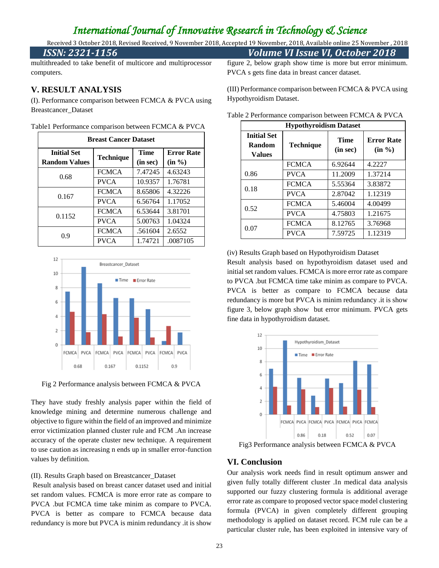Received 3 October 2018, Revised Received, 9 November 2018, Accepted 19 November, 2018, Available online 25 November , 2018

#### *ISSN: 2321-1156 Volume VI Issue VI, October 2018*

multithreaded to take benefit of multicore and multiprocessor computers.

#### **V. RESULT ANALYSIS**

(I). Performance comparison between FCMCA & PVCA using Breastcancer\_Dataset

| Table1 Performance comparison between FCMCA & PVCA |  |  |  |
|----------------------------------------------------|--|--|--|
|                                                    |  |  |  |

| <b>Breast Cancer Dataset</b>               |                  |                         |                                |  |  |  |  |
|--------------------------------------------|------------------|-------------------------|--------------------------------|--|--|--|--|
| <b>Initial Set</b><br><b>Random Values</b> | <b>Technique</b> | <b>Time</b><br>(in sec) | <b>Error Rate</b><br>$(in \%)$ |  |  |  |  |
| 0.68                                       | <b>FCMCA</b>     | 7.47245                 | 4.63243                        |  |  |  |  |
|                                            | <b>PVCA</b>      | 10.9357                 | 1.76781                        |  |  |  |  |
| 0.167                                      | <b>FCMCA</b>     | 8.65806                 | 4.32226                        |  |  |  |  |
|                                            | <b>PVCA</b>      | 6.56764                 | 1.17052                        |  |  |  |  |
| 0.1152                                     | <b>FCMCA</b>     | 6.53644                 | 3.81701                        |  |  |  |  |
|                                            | <b>PVCA</b>      | 5.00763                 | 1.04324                        |  |  |  |  |
| 0.9                                        | <b>FCMCA</b>     | .561604                 | 2.6552                         |  |  |  |  |
|                                            | <b>PVCA</b>      | 1.74721                 | .0087105                       |  |  |  |  |



Fig 2 Performance analysis between FCMCA & PVCA

They have study freshly analysis paper within the field of knowledge mining and determine numerous challenge and objective to figure within the field of an improved and minimize error victimization planned cluster rule and FCM .An increase accuracy of the operate cluster new technique. A requirement to use caution as increasing n ends up in smaller error-function values by definition.

#### (II). Results Graph based on Breastcancer\_Dataset

Result analysis based on breast cancer dataset used and initial set random values. FCMCA is more error rate as compare to PVCA .but FCMCA time take minim as compare to PVCA. PVCA is better as compare to FCMCA because data redundancy is more but PVCA is minim redundancy .it is show figure 2, below graph show time is more but error minimum. PVCA s gets fine data in breast cancer dataset.

(III) Performance comparison between FCMCA & PVCA using Hypothyroidism Dataset.

| <b>Hypothyroidism Dataset</b>                 |                  |                         |                             |  |  |  |  |
|-----------------------------------------------|------------------|-------------------------|-----------------------------|--|--|--|--|
| <b>Initial Set</b><br>Random<br><b>Values</b> | <b>Technique</b> | <b>Time</b><br>(in sec) | <b>Error Rate</b><br>(in %) |  |  |  |  |
|                                               | <b>FCMCA</b>     | 6.92644                 | 4.2227                      |  |  |  |  |
| 0.86                                          | <b>PVCA</b>      | 11.2009                 | 1.37214                     |  |  |  |  |
| 0.18                                          | <b>FCMCA</b>     | 5.55364                 | 3.83872                     |  |  |  |  |
|                                               | <b>PVCA</b>      | 2.87042                 | 1.12319                     |  |  |  |  |
| 0.52                                          | <b>FCMCA</b>     | 5.46004                 | 4.00499                     |  |  |  |  |
|                                               | <b>PVCA</b>      | 4.75803                 | 1.21675                     |  |  |  |  |
| 0.07                                          | <b>FCMCA</b>     | 8.12765                 | 3.76968                     |  |  |  |  |
|                                               | <b>PVCA</b>      | 7.59725                 | 1.12319                     |  |  |  |  |

Table 2 Performance comparison between FCMCA & PVCA

(iv) Results Graph based on Hypothyroidism Dataset

Result analysis based on hypothyroidism dataset used and initial set random values. FCMCA is more error rate as compare to PVCA .but FCMCA time take minim as compare to PVCA. PVCA is better as compare to FCMCA because data redundancy is more but PVCA is minim redundancy .it is show figure 3, below graph show but error minimum. PVCA gets fine data in hypothyroidism dataset.



Fig3 Performance analysis between FCMCA & PVCA

#### **VI. Conclusion**

Our analysis work needs find in result optimum answer and given fully totally different cluster .In medical data analysis supported our fuzzy clustering formula is additional average error rate as compare to proposed vector space model clustering formula (PVCA) in given completely different grouping methodology is applied on dataset record. FCM rule can be a particular cluster rule, has been exploited in intensive vary of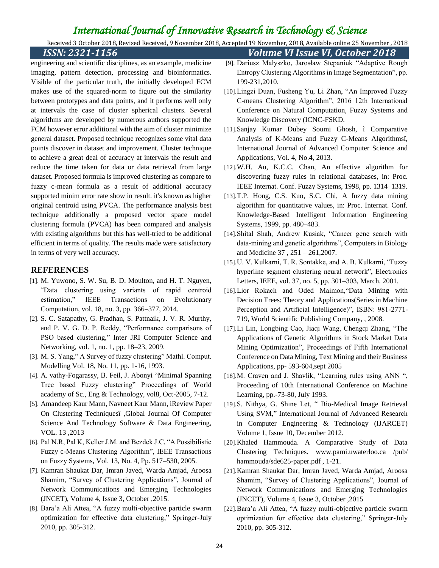Received 3 October 2018, Revised Received, 9 November 2018, Accepted 19 November, 2018, Available online 25 November , 2018

*ISSN: 2321-1156 Volume VI Issue VI, October 2018* [9]. Dariusz Małyszko, Jarosław Stepaniuk "Adaptive Rough Entropy Clustering Algorithms in Image Segmentation", pp. 199-231,2010.

- [10].Lingzi Duan, Fusheng Yu, Li Zhan, "An Improved Fuzzy C-means Clustering Algorithm", 2016 12th International Conference on Natural Computation, Fuzzy Systems and Knowledge Discovery (ICNC-FSKD.
- [11].Sanjay Kumar Dubey Soumi Ghosh, ì Comparative Analysis of K-Means and Fuzzy C-Means Algorithmsî, International Journal of Advanced Computer Science and Applications, Vol. 4, No.4, 2013.
- [12].W.H. Au, K.C.C. Chan, An effective algorithm for discovering fuzzy rules in relational databases, in: Proc. IEEE Internat. Conf. Fuzzy Systems, 1998, pp. 1314–1319.
- [13].T.P. Hong, C.S. Kuo, S.C. Chi, A fuzzy data mining algorithm for quantitative values, in: Proc. Internat. Conf. Knowledge-Based Intelligent Information Engineering Systems, 1999, pp. 480–483.
- [14].Shital Shah, Andrew Kusiak, "Cancer gene search with data-mining and genetic algorithms", Computers in Biology and Medicine 37 , 251 – 261,2007.
- [15].U. V. Kulkarni, T. R. Sontakke, and A. B. Kulkarni, "Fuzzy hyperline segment clustering neural network", Electronics Letters, IEEE, vol. 37, no. 5, pp. 301–303, March. 2001.
- [16].Lior Rokach and Oded Maimon, "Data Mining with Decision Trees: Theory and Applications(Series in Machine Perception and Artificial Intelligence)", ISBN: 981-2771- 719, World Scientific Publishing Company, , 2008.
- [17].Li Lin, Longbing Cao, Jiaqi Wang, Chengqi Zhang, "The Applications of Genetic Algorithms in Stock Market Data Mining Optimization", Proceedings of Fifth International Conference on Data Mining, Text Mining and their Business Applications, pp- 593-604,sept 2005
- [18].M. Craven and J. Shavlik, "Learning rules using ANN ", Proceeding of 10th International Conference on Machine Learning, pp.-73-80, July 1993.
- [19].S. Nithya, G. Shine Let, " Bio-Medical Image Retrieval Using SVM," International Journal of Advanced Research in Computer Engineering & Technology (IJARCET) Volume 1, Issue 10, December 2012.
- [20].Khaled Hammouda. A Comparative Study of Data Clustering Techniques. www.pami.uwaterloo.ca /pub/ hammouda/sde625-paper.pdf , 1-21.
- [21].Kamran Shaukat Dar, Imran Javed, Warda Amjad, Aroosa Shamim, "Survey of Clustering Applications", Journal of Network Communications and Emerging Technologies (JNCET), Volume 4, Issue 3, October ,2015
- [22].Bara'a Ali Attea, "A fuzzy multi-objective particle swarm optimization for effective data clustering," Springer-July 2010, pp. 305-312.

imaging, pattern detection, processing and bioinformatics. Visible of the particular truth, the initially developed FCM makes use of the squared-norm to figure out the similarity between prototypes and data points, and it performs well only at intervals the case of cluster spherical clusters. Several algorithms are developed by numerous authors supported the FCM however error additional with the aim of cluster minimize general dataset. Proposed technique recognizes some vital data points discover in dataset and improvement. Cluster technique to achieve a great deal of accuracy at intervals the result and reduce the time taken for data or data retrieval from large dataset. Proposed formula is improved clustering as compare to fuzzy c-mean formula as a result of additional accuracy supported minim error rate show in result. it's known as higher original centroid using PVCA. The performance analysis best technique additionally a proposed vector space model clustering formula (PVCA) has been compared and analysis with existing algorithms but this has well-tried to be additional efficient in terms of quality. The results made were satisfactory in terms of very well accuracy.

engineering and scientific disciplines, as an example, medicine

### **REFERENCES**

- [1]. M. Yuwono, S. W. Su, B. D. Moulton, and H. T. Nguyen, "Data clustering using variants of rapid centroid estimation," IEEE Transactions on Evolutionary Computation, vol. 18, no. 3, pp. 366–377, 2014.
- [2]. S. C. Satapathy, G. Pradhan, S. Pattnaik, J. V. R. Murthy, and P. V. G. D. P. Reddy, "Performance comparisons of PSO based clustering," Inter JRI Computer Science and Networking, vol. 1, no. 1, pp. 18–23, 2009.
- [3]. M. S. Yang," A Survey of fuzzy clustering" Mathl. Comput. Modelling Vol. 18, No. 11, pp. 1-16, 1993.
- [4]. A. vathy-Fogarassy, B. Feil, J. Abonyi "Minimal Spanning Tree based Fuzzy clustering" Proceedings of World academy of Sc., Eng & Technology, vol8, Oct-2005, 7-12.
- [5]. Amandeep Kaur Mann, Navneet Kaur Mann, ìReview Paper On Clustering Techniquesî ,Global Journal Of Computer Science And Technology Software & Data Engineering, VOL. 13 ,2013
- [6]. Pal N.R, Pal K, Keller J.M. and Bezdek J.C, "A Possibilistic Fuzzy c-Means Clustering Algorithm", IEEE Transactions on Fuzzy Systems, Vol. 13, No. 4, Pp. 517–530, 2005.
- [7]. Kamran Shaukat Dar, Imran Javed, Warda Amjad, Aroosa Shamim, "Survey of Clustering Applications", Journal of Network Communications and Emerging Technologies (JNCET), Volume 4, Issue 3, October ,2015.
- [8]. Bara'a Ali Attea, "A fuzzy multi-objective particle swarm optimization for effective data clustering," Springer-July 2010, pp. 305-312.